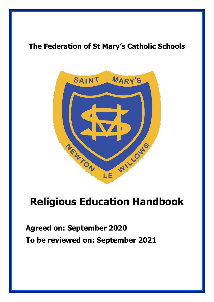# **The Federation of St Mary's Catholic Schools**



# **Religious Education Handbook**

# **Agreed on: September 2020 To be reviewed on: September 2021**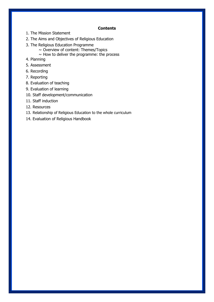#### **Contents**

- 1. The Mission Statement
- 2. The Aims and Objectives of Religious Education
- 3. The Religious Education Programme
	- $\sim$  Overview of content: Themes/Topics
	- $\sim$  How to deliver the programme: the process
- 4. Planning
- 5. Assessment
- 6. Recording
- 7. Reporting
- 8. Evaluation of teaching
- 9. Evaluation of learning
- 10. Staff development/communication
- 11. Staff induction
- 12. Resources
- 13. Relationship of Religious Education to the whole curriculum
- 14. Evaluation of Religious Handbook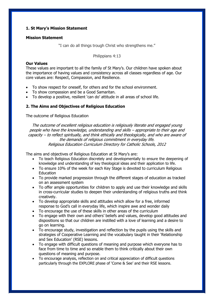# **1. St Mary's Mission Statement**

#### **Mission Statement**

"I can do all things trough Christ who strengthens me."

#### Philippians 4:13

#### **Our Values**

These values are important to all the family of St Mary's. Our children have spoken about the importance of having values and consistency across all classes regardless of age. Our core values are: Respect, Compassion, and Resilience.

- To show respect for oneself, for others and for the school environment.
- To show compassion and be a Good Samaritan.
- To develop a positive, resilient 'can do' attitude in all areas of school life.

## **2. The Aims and Objectives of Religious Education**

The outcome of Religious Education

The outcome of excellent religious education is religiously literate and engaged young people who have the knowledge, understanding and skills – appropriate to their age and capacity – to reflect spiritually, and think ethically and theologically, and who are aware of the demands of religious commitment in everyday life. Religious Education Curriculum Directory for Catholic Schools, 2012

The aims and objectives of Religious Education at St Mary's are:

- To teach Religious Education discretely and developmentally to ensure the deepening of knowledge and understanding of key theological ideas and their application to life.
- To ensure 10% of the week for each Key Stage is devoted to curriculum Religious Education
- To provide marked progression through the different stages of education as tracked on an assessment system
- To offer ample opportunities for children to apply and use their knowledge and skills in cross-curricular studies to deepen their understanding of religious truths and think creatively.
- To develop appropriate skills and attitudes which allow for a free, informed response to God's call in everyday life, which inspire awe and wonder daily
- To encourage the use of these skills in other areas of the curriculum
- To engage with their own and others' beliefs and values, develop good attitudes and dispositions so that our children are instilled with a love of learning and a desire to go on learning.
- To encourage study, investigation and reflection by the pupils using the skills and strategies of Cooperative Learning and the vocabulary taught in their 'Relationship and Sex Education' (RSE) lessons.
- To engage with difficult questions of meaning and purpose which everyone has to face from time to time and so enable them to think critically about their own questions of meaning and purpose.
- To encourage analysis, reflection on and critical appreciation of difficult questions particularly through the EXPLORE phase of 'Come & See' and their RSE lessons.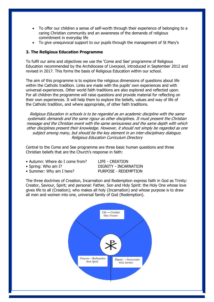- To offer our children a sense of self-worth through their experience of belonging to a caring Christian community and an awareness of the demands of religious commitment in everyday life
- To give unequivocal support to our pupils through the management of St Mary's

# **3. The Religious Education Programme**

To fulfil our aims and objectives we use the 'Come and See' programme of Religious Education recommended by the Archdiocese of Liverpool, introduced in September 2012 and revised in 2017. This forms the basis of Religious Education within our school.

The aim of this programme is to explore the religious dimensions of questions about life within the Catholic tradition. Links are made with the pupils' own experiences and with universal experiences. Other world faith traditions are also explored and reflected upon. For all children the programme will raise questions and provide material for reflecting on their own experiences. It will help them to explore the beliefs, values and way of life of the Catholic tradition, and where appropriate, of other faith traditions.

Religious Education in schools is to be regarded as an academic discipline with the same systematic demands and the same rigour as other disciplines. It must present the Christian message and the Christian event with the same seriousness and the same depth with which other disciplines present their knowledge. However, it should not simply be regarded as one subject among many, but should be the key element in an inter-disciplinary dialogue. Religious Education Curriculum Directory

Central to the Come and See programme are three basic human questions and three Christian beliefs that are the Church's response in faith:

- Autumn: Where do I come from? LIFE CREATION
- 
- Summer: Why am I here? PURPOSE REDEMPTION

• Spring: Who am I? DIGNITY - INCARNATION

The three doctrines of Creation, Incarnation and Redemption express faith in God as Trinity: Creator, Saviour, Spirit; and personal: Father, Son and Holy Spirit: the Holy One whose love gives life to all (Creation); who makes all holy (Incarnation) and whose purpose is to draw all men and women into one, universal family of God (Redemption).

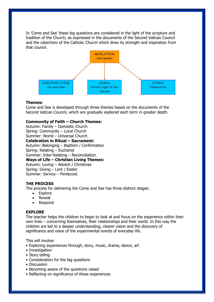In 'Come and See' these big questions are considered in the light of the scripture and tradition of the Church, as expressed in the documents of the Second Vatican Council and the catechism of the Catholic Church which drew its strength and inspiration from that council.



#### **Themes:**

Come and See is developed through three themes based on the documents of the Second Vatican Council, which are gradually explored each term in greater depth.

#### **Community of Faith – Church Themes:**

Autumn: Family – Domestic Church Spring: Community – Local Church Summer: World – Universal Church **Celebration in Ritual – Sacrament:** Autumn: Belonging – Baptism / Confirmation Spring: Relating – Eucharist Summer: Inter-Relating – Reconciliation. **Ways of Life – Christian Living Themes:** Autumn: Loving – Advent / Christmas Spring: Giving – Lent / Easter Summer: Service – Pentecost.

#### **THE PROCESS**

The process for delivering the Come and See has three distinct stages:

- Explore
- Reveal
- Respond

#### **EXPLORE**

The teacher helps the children to begin to look at and focus on the experience within their own lives – concerning themselves, their relationships and their world. In this way the children are led to a deeper understanding, clearer vision and the discovery of significance and value of the experimental events of everyday life.

This will involve:

- Exploring experiences through, story, music, drama, dance, art
- Investigation
- Story telling
- Consideration for the big questions
- Discussion
- Becoming aware of the questions raised
- Reflecting on significance of these experiences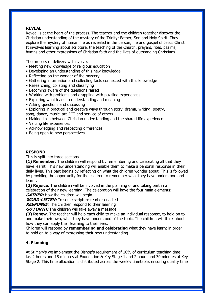## **REVEAL**

Reveal is at the heart of the process. The teacher and the children together discover the Christian understanding of the mystery of the Trinity; Father, Son and Holy Spirit. They explore the mystery of human life as revealed in the person, life and gospel of Jesus Christ. It involves learning about scripture, the teaching of the Church, prayers, rites, psalms, hymns and other expressions of Christian faith and the lives of outstanding Christians.

The process of delivery will involve:

- Meeting new knowledge of religious education
- Developing an understanding of this new knowledge
- Reflecting on the wonder of the mystery
- Gathering information and collecting facts connected with this knowledge
- Researching, collating and classifying
- Becoming aware of the questions raised
- Working with problems and grappling with puzzling experiences
- Exploring what leads to understanding and meaning
- Asking questions and discussing
- Exploring in practical and creative ways through story, drama, writing, poetry, song, dance, music, art, ICT and service of others
- Making links between Christian understanding and the shared life experience
- Valuing life experiences
- Acknowledging and respecting differences
- Being open to new perspectives

# **RESPOND**

This is split into three sections.

**(1) Remember**. The children will respond by remembering and celebrating all that they have learnt. This new understanding will enable them to make a personal response in their daily lives. This part begins by reflecting on what the children wonder about. This is followed by providing the opportunity for the children to remember what they have understood and learnt.

**(2) Rejoice**. The children will be involved in the planning of and taking part in a celebration of their new learning. The celebration will have the four main elements: **GATHER:** How the children will begin

**WORD-LISTEN:** To some scripture read or enacted

**RESPONSE:** The children respond to their learning

**GO FORTH:** The children will take away a message

**(3) Renew**. The teacher will help each child to make an individual response, to hold on to and make their own, what they have understood of the topic. The children will think about how they can apply their learning to their lives.

Children will respond by **remembering and celebrating** what they have learnt in order to hold on to a way of expressing their new understanding.

# **4. Planning**

At St Mary's we implement the Bishop's requirement of 10% of curriculum teaching time: i.e. 2 hours and 15 minutes at Foundation & Key Stage 1 and 2 hours and 30 minutes at Key Stage 2. This time allocation is distributed across the weekly timetable, ensuring quality time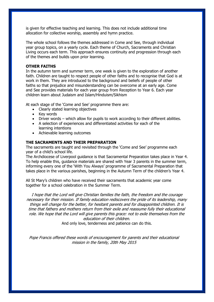is given for effective teaching and learning. This does not include additional time allocation for collective worship, assembly and hymn practice.

The whole school follows the themes addressed in Come and See, through individual year group topics, on a yearly cycle. Each theme of Church, Sacraments and Christian Living occurs each term. This approach ensures continuity and progression through each of the themes and builds upon prior learning.

#### **OTHER FAITHS**

In the autumn term and summer term, one week is given to the exploration of another faith. Children are taught to respect people of other faiths and to recognise that God is at work in them. They are introduced to the background and beliefs of people of other faiths so that prejudice and misunderstanding can be overcome at an early age. Come and See provides materials for each year group from Reception to Year 6. Each year children learn about Judaism and Islam/Hinduism/Sikhism

At each stage of the 'Come and See' programme there are:

- Clearly stated learning objectives
- Key words
- Driver words which allow for pupils to work according to their different abilities.
- A selection of experiences and differentiated activities for each of the learning intentions
- Achievable learning outcomes

#### **THE SACRAMENTS AND THEIR PREPARATION**

The sacraments are taught and revisited through the 'Come and See' programme each year of a child's school life.

The Archdiocese of Liverpool guidance is that Sacramental Preparation takes place in Year 4. To help enable this, guidance materials are shared with Year 3 parents in the summer term, informing every one of the 'With You Always' programme of Sacramental Preparation that takes place in the various parishes, beginning in the Autumn Term of the children's Year 4.

All St Mary's children who have received their sacraments that academic year come together for a school celebration in the Summer Term.

I hope that the Lord will give Christian families the faith, the freedom and the courage necessary for their mission. If family education rediscovers the pride of its leadership, many things will change for the better, for hesitant parents and for disappointed children. It is time that fathers and mothers return from their exile and reassume fully their educational role. We hope that the Lord will give parents this grace: not to exile themselves from the education of their children.

And only love, tenderness and patience can do this.

Pope Francis offered these words of encouragement for parents and their educational mission in the family, 20th May 2015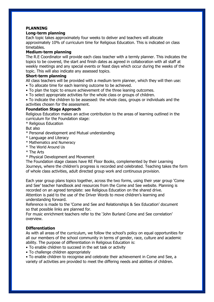# **PLANNING**

# **Long-term planning**

Each topic takes approximately four weeks to deliver and teachers will allocate approximately 10% of curriculum time for Religious Education. This is indicated on class timetables.

# **Medium-term planning**

The R.E Coordinator will provide each class teacher with a termly planner. This indicates the topics to be covered, the start and finish dates as agreed in collaboration with all staff at weekly meetings and any special events or feast days which occur during the weeks of the topic. This will also indicate any assessed topics.

# **Short-term planning**

All class teachers will be provided with a medium term planner, which they will then use:

- To allocate time for each learning outcome to be achieved.
- To plan the topic to ensure achievement of the three leaning outcomes.
- To select appropriate activities for the whole class or groups of children.

• To indicate the children to be assessed: the whole class, groups or individuals and the activities chosen for the assessment.

# **Foundation Stage Approach**

Religious Education makes an active contribution to the areas of learning outlined in the curriculum for the Foundation stage:

\* Religious Education

But also

- \* Personal development and Mutual understanding
- \* Language and Literacy
- \* Mathematics and Numeracy
- \* The World Around Us
- \* The Arts
- \* Physical Development and Movement

The Foundation stage classes have RE Floor Books, complemented by their Learning Journeys, where the children's progress is recorded and celebrated. Teaching takes the form of whole class activities, adult directed group work and continuous provision.

Each year group plans topics together, across the two forms, using their year group 'Come and See' teacher handbook and resources from the Come and See website. Planning is recorded on an agreed template: see Religious Education on the shared drive. Attention is paid to the use of the Driver Words to move children's learning and understanding forward.

Reference is made to the 'Come and See and Relationships & Sex Education' document so that possible links are planned for.

For music enrichment teachers refer to the 'John Burland Come and See correlation' overview.

## **Differentiation**

As with all areas of the curriculum, we follow the school's policy on equal opportunities for all our members of the school community in terms of gender, race, culture and academic ability. The purpose of differentiation in Religious Education is:

- To enable children to succeed in the set task or activity
- To challenge children appropriately

• To enable children to recognise and celebrate their achievement in Come and See, a variety of activities are provided to meet the differing needs and abilities of children.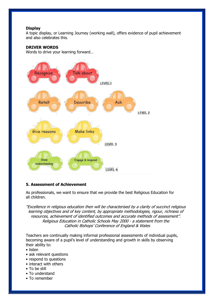# **Display**

A topic display, or Learning Journey (working wall), offers evidence of pupil achievement and also celebrates this.

# **DRIVER WORDS**

Words to drive your learning forward…



# **5. Assessment of Achievement**

As professionals, we want to ensure that we provide the best Religious Education for all children.

"Excellence in religious education then will be characterised by a clarity of succinct religious learning objectives and of key content, by appropriate methodologies, rigour, richness of resources, achievement of identified outcomes and accurate methods of assessment". Religious Education in Catholic Schools May 2000 - a statement from the Catholic Bishops' Conference of England & Wales

Teachers are continually making informal professional assessments of individual pupils, becoming aware of a pupil's level of understanding and growth in skills by observing their ability to:

- listen
- ask relevant questions
- respond to questions
- interact with others
- To be still
- To understand
- To remember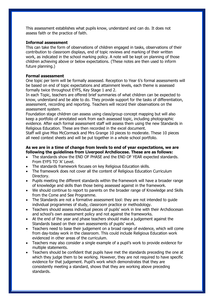This assessment establishes what pupils know, understand and can do. It does not assess faith or the practice of faith.

## **Informal assessment**

This can take the form of observations of children engaged in tasks, observations of their contribution to classroom displays, end of topic reviews and marking of their written work, as indicated in the school marking policy. A note will be kept on planning of those children achieving above or below expectations. (These notes are then used to inform future planning.)

#### **Formal assessment**

One topic per term will be formally assessed. Reception to Year 6's formal assessments will be based on end of topic expectations and attainment levels, each theme is assessed formally twice throughout EYFS, Key Stage 1 and 2.

In each Topic, teachers are offered brief summaries of what children can be expected to know, understand and be able to do. They provide support for the tasks of differentiation, assessment, recording and reporting. Teachers will record their observations on the assessment system.

Foundation stage children can assess using class/group concept mapping but will also keep a portfolio of annotated work from each assessed topic, including photographic evidence. After each formal assessment staff will assess them using the new Standards in Religious Education. These are then recorded in the excel document.

Staff will give Miss McCormack and Mrs Grange 10 pieces to moderate. These 10 pieces all need context sheets and will be put together in a whole school portfolio.

# **As we are in a time of change from levels to end of year expectations, we are following the guidelines from Liverpool Archdiocese. These are as follows:**

- The standards show the END OF PHASE and the END OF YEAR expected standards. From EYFS TO 'A' Level.
- The standards framework focuses on key Religious Education skills.
- The framework does not cover all the content of Religious Education Curriculum Directory.
- Pupils meeting the different standards within the framework will have a broader range of knowledge and skills than those being assessed against in the framework.
- We should continue to report to parents on the broader range of Knowledge and Skills from the Come and See Programme.
- The Standards are not a formative assessment tool: they are not intended to guide individual programmes of study, classroom practice or methodology.
- Teachers should assess individual pieces of pupils' work in line with their Archdiocesan and school's own assessment policy and not against the frameworks.
- At the end of the year and phase teachers should make a judgement against the Standards based on their own assessments of pupils' work.
- Teachers need to base their judgement on a broad range of evidence, which will come from day-today work in the classroom. This could include Religious Education work evidenced in other areas of the curriculum.
- Teachers may also consider a single example of a pupil's work to provide evidence for multiple statements.
- Teachers should be confident that pupils have met the standards preceding the one at which they judge them to be working. However, they are not required to have specific evidence for that judgement. Pupil's work which demonstrates that they are consistently meeting a standard, shows that they are working above preceding standards.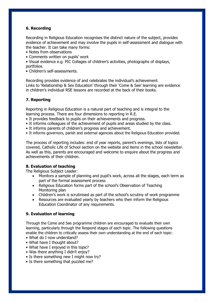# **6. Recording**

Recording in Religious Education recognises the distinct nature of the subject, provides evidence of achievement and may involve the pupils in self-assessment and dialogue with the teacher. It can take many forms:

- Notes from observations
- Comments written on pupils' work

• Visual evidence e.g. PIC Collages of children's activities, photographs of displays, portfolios.

• Children's self-assessments.

Recording provides evidence of and celebrates the individual's achievement. Links to 'Relationship & Sex Education' through their 'Come & See' learning are evidence in children's individual RSE lessons are recorded at the back of their books.

# **7. Reporting**

Reporting in Religious Education is a natural part of teaching and is integral to the learning process. There are four dimensions to reporting in R.E.

- It provides feedback to pupils on their achievements and progress.
- It informs colleagues of the achievement of pupils and areas studied by the class.
- It informs parents of children's progress and achievement.
- It informs governors, parish and external agencies about the Religious Education provided.

The process of reporting includes: end of year reports, parent's evenings, lists of topics covered, Catholic Life of School section on the website and items in the school newsletter. As well as this, parents are encouraged and welcome to enquire about the progress and achievements of their children.

# **8. Evaluation of teaching**

The Religious Subject Leader:

- Monitors a sample of planning and pupil's work, across all the stages, each term as part of the formal assessment process
- Religious Education forms part of the school's Observation of Teaching Monitoring plan
- Children's work is scrutinised as part of the school's scrutiny of work programme
- Resources are evaluated yearly by teachers who then inform the Religious Education Coordinator of any requirements.

# **9. Evaluation of learning**

Through the Come and See programme children are encouraged to evaluate their own learning, particularly through the Respond stages of each topic. The following questions enable the children to critically assess their own understanding at the end of each topic:

- What do I now understand?
- What have I thought about?
- What have I enjoyed in this topic?
- Was there anything I didn't enjoy?
- Is there something new I might now try?
- Is there something that puzzled me?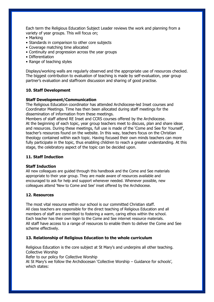Each term the Religious Education Subject Leader reviews the work and planning from a variety of year groups. This will focus on;

- Marking
- Standards in comparison to other core subjects
- Coverage matching time allocated
- Continuity and progression across the year groups
- Differentiation
- Range of teaching styles

Displays/working walls are regularly observed and the appropriate use of resources checked. The biggest contribution to evaluation of teaching is made by self-evaluation, year group partner's evaluation and staffroom discussion and sharing of good practise.

#### **10. Staff Development**

#### **Staff Development/Communication**

The Religious Education coordinator has attended Archdiocese-led Inset courses and Coordinator Meetings. Time has then been allocated during staff meetings for the dissemination of information from these meetings.

Members of staff attend RE Inset and CCRS courses offered by the Archdiocese. At the beginning of each topic, year group teachers meet to discuss, plan and share ideas and resources. During these meetings, full use is made of the 'Come and See for Yourself', teacher's resources found on the website. In this way, teachers focus on the Christian theology contained within each topic. Having focused their own minds teachers can more fully participate in the topic, thus enabling children to reach a greater understanding. At this stage, the celebratory aspect of the topic can be decided upon.

#### **11. Staff Induction**

#### **Staff Induction**

All new colleagues are guided through this handbook and the Come and See materials appropriate to their year group. They are made aware of resources available and encouraged to ask for help and support whenever needed. Whenever possible, new colleagues attend 'New to Come and See' inset offered by the Archdiocese.

#### **12. Resources**

The most vital resource within our school is our committed Christian staff. All class teachers are responsible for the direct teaching of Religious Education and all members of staff are committed to fostering a warm, caring ethos within the school. Each teacher has their own login to the Come and See internet resource materials. All staff have access to a range of resources to enable them to deliver the Come and See scheme effectively.

# **13. Relationship of Religious Education to the whole curriculum**

Religious Education is the core subject at St Mary's and underpins all other teaching. Collective Worship Refer to our policy for Collective Worship At St Mary's we follow the Archdiocesan 'Collective Worship – Guidance for schools', which states: